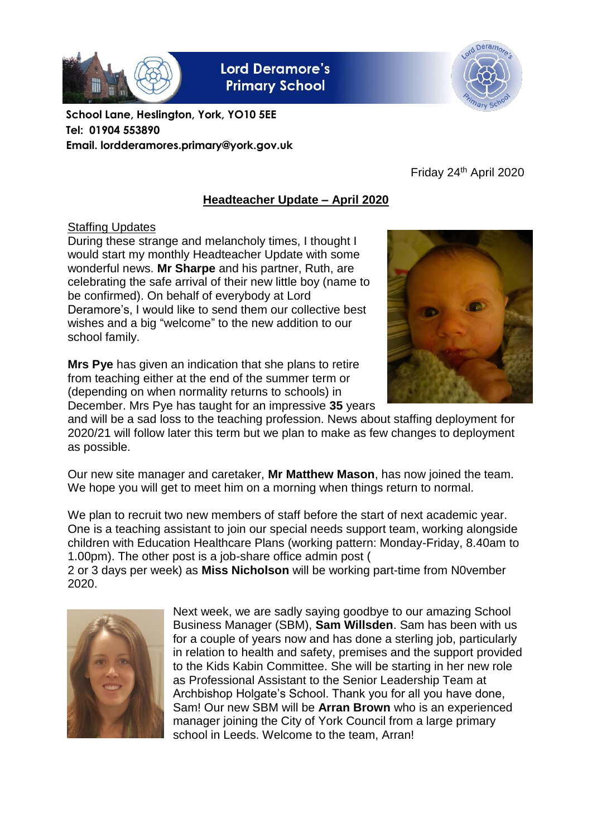

**Lord Deramore's Primary School** 



**School Lane, Heslington, York, YO10 5EE Tel: 01904 553890 Email. lordderamores.primary@york.gov.uk**

Friday 24th April 2020

# **Headteacher Update – April 2020**

# **Staffing Updates**

During these strange and melancholy times, I thought I would start my monthly Headteacher Update with some wonderful news. **Mr Sharpe** and his partner, Ruth, are celebrating the safe arrival of their new little boy (name to be confirmed). On behalf of everybody at Lord Deramore's, I would like to send them our collective best wishes and a big "welcome" to the new addition to our school family.

**Mrs Pye** has given an indication that she plans to retire from teaching either at the end of the summer term or (depending on when normality returns to schools) in December. Mrs Pye has taught for an impressive **35** years



and will be a sad loss to the teaching profession. News about staffing deployment for 2020/21 will follow later this term but we plan to make as few changes to deployment as possible.

Our new site manager and caretaker, **Mr Matthew Mason**, has now joined the team. We hope you will get to meet him on a morning when things return to normal.

We plan to recruit two new members of staff before the start of next academic year. One is a teaching assistant to join our special needs support team, working alongside children with Education Healthcare Plans (working pattern: Monday-Friday, 8.40am to 1.00pm). The other post is a job-share office admin post (

2 or 3 days per week) as **Miss Nicholson** will be working part-time from N0vember 2020.



Next week, we are sadly saying goodbye to our amazing School Business Manager (SBM), **Sam Willsden**. Sam has been with us for a couple of years now and has done a sterling job, particularly in relation to health and safety, premises and the support provided to the Kids Kabin Committee. She will be starting in her new role as Professional Assistant to the Senior Leadership Team at Archbishop Holgate's School. Thank you for all you have done, Sam! Our new SBM will be **Arran Brown** who is an experienced manager joining the City of York Council from a large primary school in Leeds. Welcome to the team, Arran!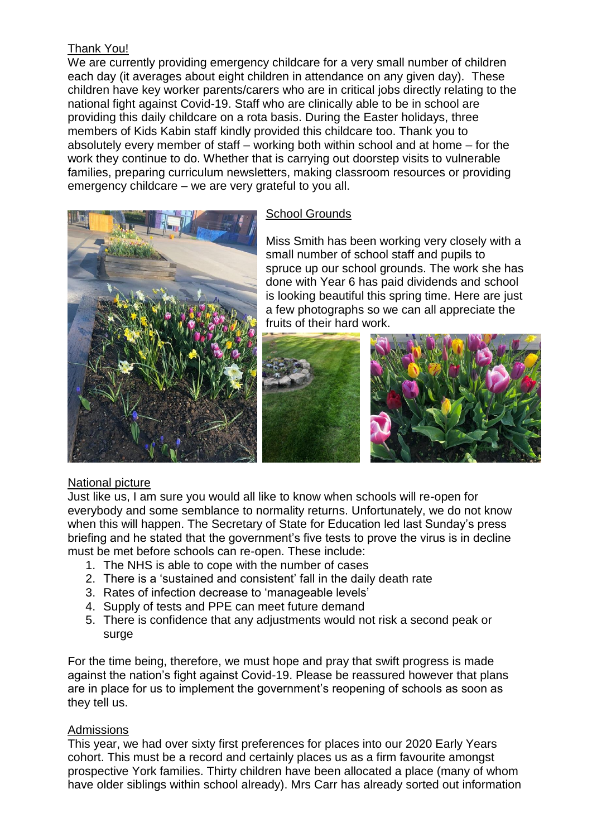# Thank You!

We are currently providing emergency childcare for a very small number of children each day (it averages about eight children in attendance on any given day). These children have key worker parents/carers who are in critical jobs directly relating to the national fight against Covid-19. Staff who are clinically able to be in school are providing this daily childcare on a rota basis. During the Easter holidays, three members of Kids Kabin staff kindly provided this childcare too. Thank you to absolutely every member of staff – working both within school and at home – for the work they continue to do. Whether that is carrying out doorstep visits to vulnerable families, preparing curriculum newsletters, making classroom resources or providing emergency childcare – we are very grateful to you all.



# School Grounds

Miss Smith has been working very closely with a small number of school staff and pupils to spruce up our school grounds. The work she has done with Year 6 has paid dividends and school is looking beautiful this spring time. Here are just a few photographs so we can all appreciate the fruits of their hard work.



# National picture

Just like us, I am sure you would all like to know when schools will re-open for everybody and some semblance to normality returns. Unfortunately, we do not know when this will happen. The Secretary of State for Education led last Sunday's press briefing and he stated that the government's five tests to prove the virus is in decline must be met before schools can re-open. These include:

- 1. The NHS is able to cope with the number of cases
- 2. There is a 'sustained and consistent' fall in the daily death rate
- 3. Rates of infection decrease to 'manageable levels'
- 4. Supply of tests and PPE can meet future demand
- 5. There is confidence that any adjustments would not risk a second peak or surge

For the time being, therefore, we must hope and pray that swift progress is made against the nation's fight against Covid-19. Please be reassured however that plans are in place for us to implement the government's reopening of schools as soon as they tell us.

# **Admissions**

This year, we had over sixty first preferences for places into our 2020 Early Years cohort. This must be a record and certainly places us as a firm favourite amongst prospective York families. Thirty children have been allocated a place (many of whom have older siblings within school already). Mrs Carr has already sorted out information